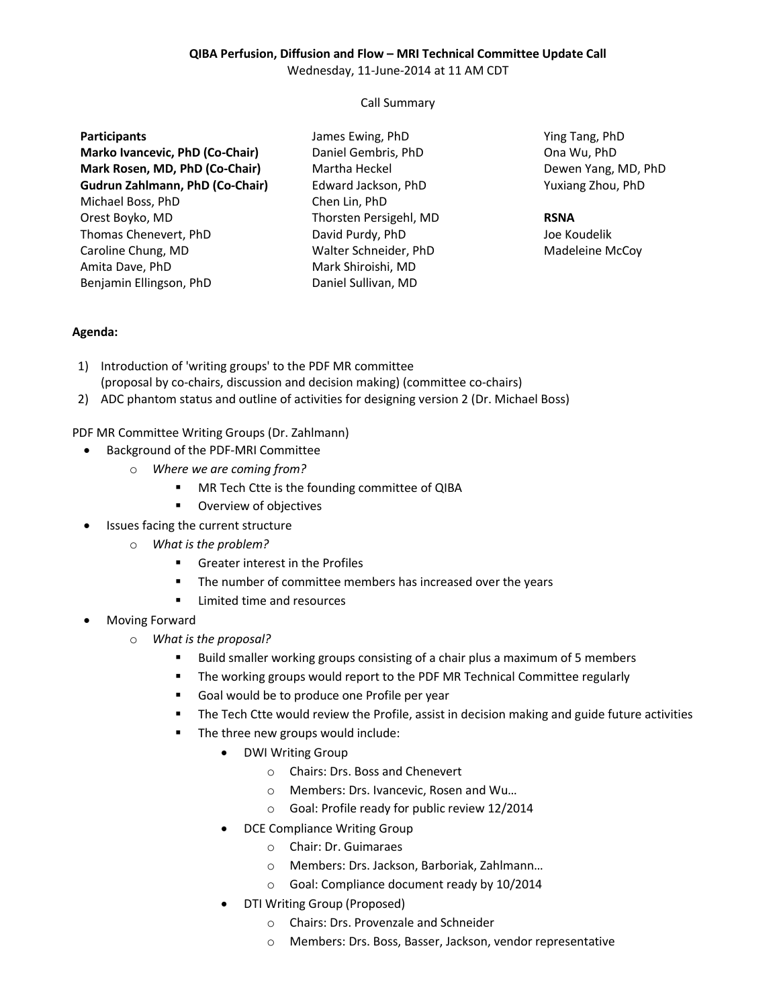### **QIBA Perfusion, Diffusion and Flow – MRI Technical Committee Update Call**

Wednesday, 11-June-2014 at 11 AM CDT

Call Summary

#### **Participants**

**Marko Ivancevic, PhD (Co-Chair) Mark Rosen, MD, PhD (Co-Chair) Gudrun Zahlmann, PhD (Co-Chair)** Michael Boss, PhD Orest Boyko, MD Thomas Chenevert, PhD Caroline Chung, MD Amita Dave, PhD Benjamin Ellingson, PhD

James Ewing, PhD Daniel Gembris, PhD Martha Heckel Edward Jackson, PhD Chen Lin, PhD Thorsten Persigehl, MD David Purdy, PhD Walter Schneider, PhD Mark Shiroishi, MD Daniel Sullivan, MD

Ying Tang, PhD Ona Wu, PhD Dewen Yang, MD, PhD Yuxiang Zhou, PhD

#### **RSNA**

Joe Koudelik Madeleine McCoy

## **Agenda:**

- 1) Introduction of 'writing groups' to the PDF MR committee (proposal by co-chairs, discussion and decision making) (committee co-chairs)
- 2) ADC phantom status and outline of activities for designing version 2 (Dr. Michael Boss)

PDF MR Committee Writing Groups (Dr. Zahlmann)

- Background of the PDF-MRI Committee
	- o *Where we are coming from?*
		- **MR Tech Ctte is the founding committee of QIBA**
		- **•** Overview of objectives
- Issues facing the current structure
	- o *What is the problem?*
		- **Greater interest in the Profiles**
		- **The number of committee members has increased over the years**
		- Limited time and resources
- Moving Forward
	- o *What is the proposal?*
		- Build smaller working groups consisting of a chair plus a maximum of 5 members
		- **The working groups would report to the PDF MR Technical Committee regularly**
		- Goal would be to produce one Profile per year
		- **The Tech Ctte would review the Profile, assist in decision making and guide future activities**
		- The three new groups would include:
			- DWI Writing Group
				- o Chairs: Drs. Boss and Chenevert
				- o Members: Drs. Ivancevic, Rosen and Wu…
				- o Goal: Profile ready for public review 12/2014
			- DCE Compliance Writing Group
				- o Chair: Dr. Guimaraes
				- o Members: Drs. Jackson, Barboriak, Zahlmann…
				- o Goal: Compliance document ready by 10/2014
			- DTI Writing Group (Proposed)
				- o Chairs: Drs. Provenzale and Schneider
				- o Members: Drs. Boss, Basser, Jackson, vendor representative